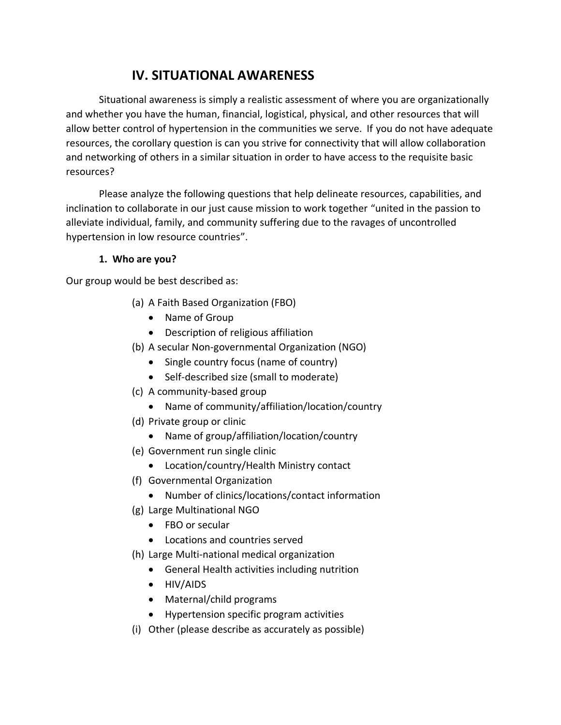# **IV. SITUATIONAL AWARENESS**

Situational awareness is simply a realistic assessment of where you are organizationally and whether you have the human, financial, logistical, physical, and other resources that will allow better control of hypertension in the communities we serve. If you do not have adequate resources, the corollary question is can you strive for connectivity that will allow collaboration and networking of others in a similar situation in order to have access to the requisite basic resources?

Please analyze the following questions that help delineate resources, capabilities, and inclination to collaborate in our just cause mission to work together "united in the passion to alleviate individual, family, and community suffering due to the ravages of uncontrolled hypertension in low resource countries".

#### **1. Who are you?**

Our group would be best described as:

- (a) A Faith Based Organization (FBO)
	- Name of Group
	- Description of religious affiliation
- (b) A secular Non-governmental Organization (NGO)
	- Single country focus (name of country)
	- Self-described size (small to moderate)
- (c) A community-based group
	- Name of community/affiliation/location/country
- (d) Private group or clinic
	- Name of group/affiliation/location/country
- (e) Government run single clinic
	- Location/country/Health Ministry contact
- (f) Governmental Organization
	- Number of clinics/locations/contact information
- (g) Large Multinational NGO
	- FBO or secular
	- Locations and countries served
- (h) Large Multi-national medical organization
	- General Health activities including nutrition
	- HIV/AIDS
	- Maternal/child programs
	- Hypertension specific program activities
- (i) Other (please describe as accurately as possible)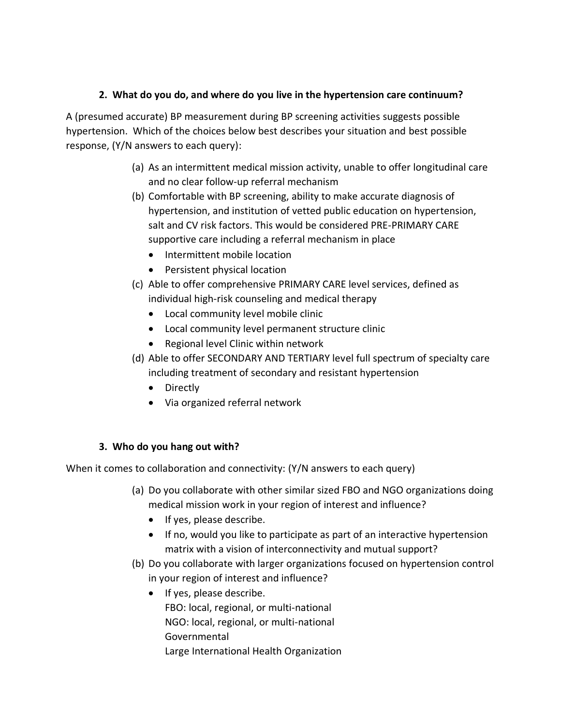#### **2. What do you do, and where do you live in the hypertension care continuum?**

A (presumed accurate) BP measurement during BP screening activities suggests possible hypertension. Which of the choices below best describes your situation and best possible response, (Y/N answers to each query):

- (a) As an intermittent medical mission activity, unable to offer longitudinal care and no clear follow-up referral mechanism
- (b) Comfortable with BP screening, ability to make accurate diagnosis of hypertension, and institution of vetted public education on hypertension, salt and CV risk factors. This would be considered PRE-PRIMARY CARE supportive care including a referral mechanism in place
	- Intermittent mobile location
	- Persistent physical location
- (c) Able to offer comprehensive PRIMARY CARE level services, defined as individual high-risk counseling and medical therapy
	- Local community level mobile clinic
	- Local community level permanent structure clinic
	- Regional level Clinic within network
- (d) Able to offer SECONDARY AND TERTIARY level full spectrum of specialty care including treatment of secondary and resistant hypertension
	- Directly
	- Via organized referral network

#### **3. Who do you hang out with?**

When it comes to collaboration and connectivity: (Y/N answers to each query)

- (a) Do you collaborate with other similar sized FBO and NGO organizations doing medical mission work in your region of interest and influence?
	- If yes, please describe.
	- If no, would you like to participate as part of an interactive hypertension matrix with a vision of interconnectivity and mutual support?
- (b) Do you collaborate with larger organizations focused on hypertension control in your region of interest and influence?
	- If yes, please describe. FBO: local, regional, or multi-national NGO: local, regional, or multi-national Governmental Large International Health Organization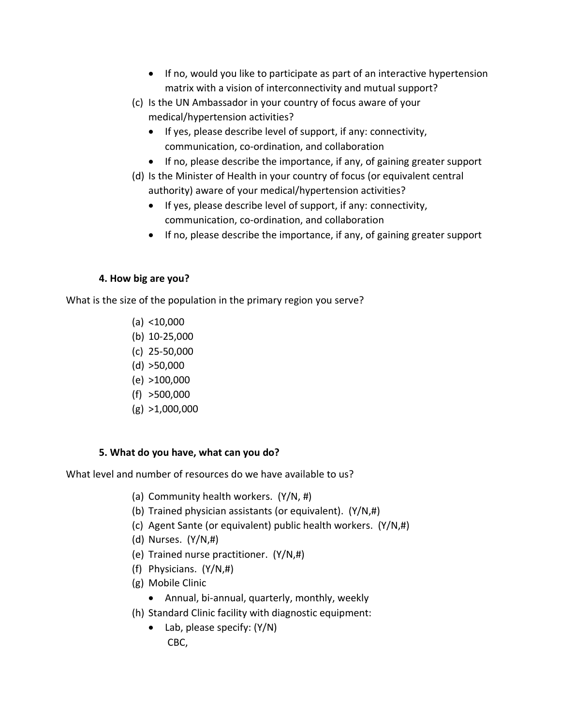- If no, would you like to participate as part of an interactive hypertension matrix with a vision of interconnectivity and mutual support?
- (c) Is the UN Ambassador in your country of focus aware of your medical/hypertension activities?
	- If yes, please describe level of support, if any: connectivity, communication, co-ordination, and collaboration
	- If no, please describe the importance, if any, of gaining greater support
- (d) Is the Minister of Health in your country of focus (or equivalent central authority) aware of your medical/hypertension activities?
	- If yes, please describe level of support, if any: connectivity, communication, co-ordination, and collaboration
	- If no, please describe the importance, if any, of gaining greater support

## **4. How big are you?**

What is the size of the population in the primary region you serve?

- $(a) < 10,000$
- (b) 10-25,000
- (c) 25-50,000
- $(d)$  >50,000
- (e) >100,000
- (f) >500,000
- $(g) > 1,000,000$

## **5. What do you have, what can you do?**

What level and number of resources do we have available to us?

- (a) Community health workers. (Y/N, #)
- (b) Trained physician assistants (or equivalent). (Y/N,#)
- (c) Agent Sante (or equivalent) public health workers. (Y/N,#)
- (d) Nurses. (Y/N,#)
- (e) Trained nurse practitioner. (Y/N,#)
- (f) Physicians. (Y/N,#)
- (g) Mobile Clinic
	- Annual, bi-annual, quarterly, monthly, weekly
- (h) Standard Clinic facility with diagnostic equipment:
	- Lab, please specify: (Y/N) CBC,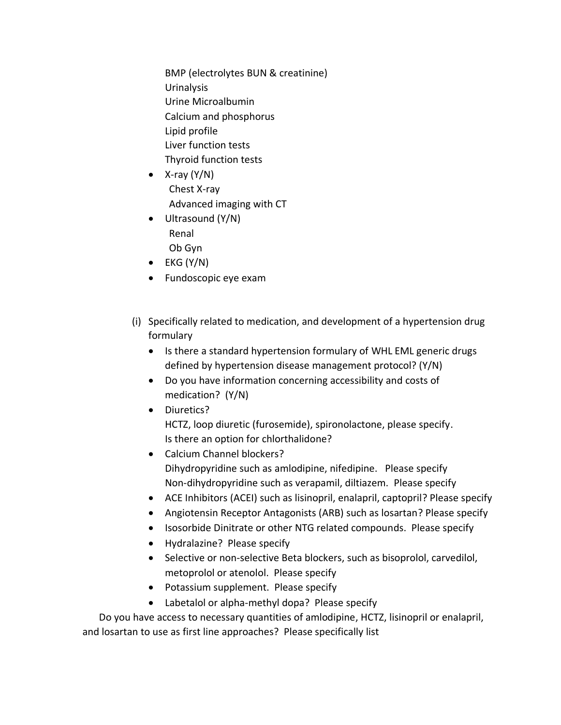BMP (electrolytes BUN & creatinine) Urinalysis Urine Microalbumin Calcium and phosphorus Lipid profile Liver function tests Thyroid function tests

- $X$ -ray  $(Y/N)$ Chest X-ray Advanced imaging with CT
- Ultrasound (Y/N) Renal Ob Gyn
- $\bullet$  EKG (Y/N)
- Fundoscopic eye exam
- (i) Specifically related to medication, and development of a hypertension drug formulary
	- Is there a standard hypertension formulary of WHL EML generic drugs defined by hypertension disease management protocol? (Y/N)
	- Do you have information concerning accessibility and costs of medication? (Y/N)
	- Diuretics? HCTZ, loop diuretic (furosemide), spironolactone, please specify. Is there an option for chlorthalidone?
	- Calcium Channel blockers? Dihydropyridine such as amlodipine, nifedipine. Please specify Non-dihydropyridine such as verapamil, diltiazem. Please specify
	- ACE Inhibitors (ACEI) such as lisinopril, enalapril, captopril? Please specify
	- Angiotensin Receptor Antagonists (ARB) such as losartan? Please specify
	- Isosorbide Dinitrate or other NTG related compounds. Please specify
	- Hydralazine? Please specify
	- Selective or non-selective Beta blockers, such as bisoprolol, carvedilol, metoprolol or atenolol. Please specify
	- Potassium supplement. Please specify
	- Labetalol or alpha-methyl dopa? Please specify

Do you have access to necessary quantities of amlodipine, HCTZ, lisinopril or enalapril, and losartan to use as first line approaches? Please specifically list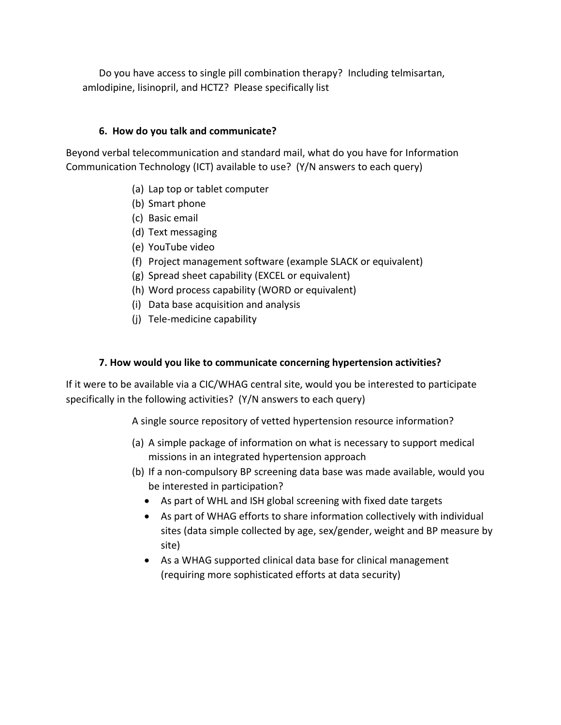Do you have access to single pill combination therapy? Including telmisartan, amlodipine, lisinopril, and HCTZ? Please specifically list

#### **6. How do you talk and communicate?**

Beyond verbal telecommunication and standard mail, what do you have for Information Communication Technology (ICT) available to use? (Y/N answers to each query)

- (a) Lap top or tablet computer
- (b) Smart phone
- (c) Basic email
- (d) Text messaging
- (e) YouTube video
- (f) Project management software (example SLACK or equivalent)
- (g) Spread sheet capability (EXCEL or equivalent)
- (h) Word process capability (WORD or equivalent)
- (i) Data base acquisition and analysis
- (j) Tele-medicine capability

#### **7. How would you like to communicate concerning hypertension activities?**

If it were to be available via a CIC/WHAG central site, would you be interested to participate specifically in the following activities? (Y/N answers to each query)

A single source repository of vetted hypertension resource information?

- (a) A simple package of information on what is necessary to support medical missions in an integrated hypertension approach
- (b) If a non-compulsory BP screening data base was made available, would you be interested in participation?
	- As part of WHL and ISH global screening with fixed date targets
	- As part of WHAG efforts to share information collectively with individual sites (data simple collected by age, sex/gender, weight and BP measure by site)
	- As a WHAG supported clinical data base for clinical management (requiring more sophisticated efforts at data security)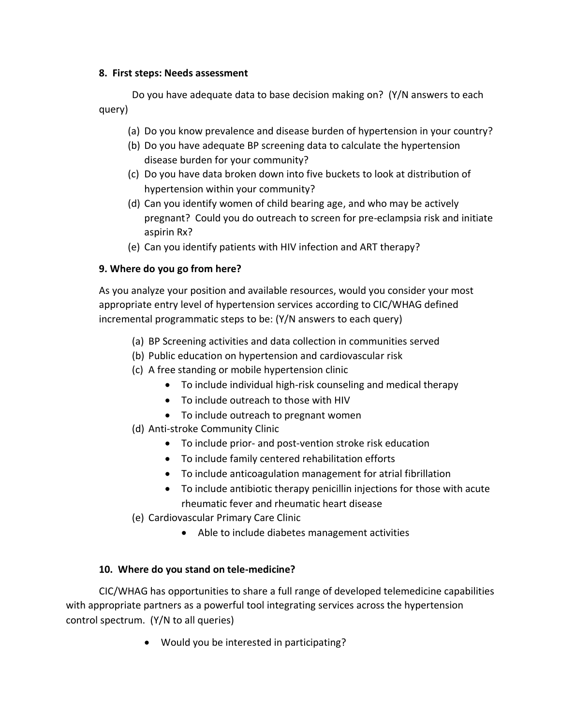#### **8. First steps: Needs assessment**

Do you have adequate data to base decision making on? (Y/N answers to each query)

- (a) Do you know prevalence and disease burden of hypertension in your country?
- (b) Do you have adequate BP screening data to calculate the hypertension disease burden for your community?
- (c) Do you have data broken down into five buckets to look at distribution of hypertension within your community?
- (d) Can you identify women of child bearing age, and who may be actively pregnant? Could you do outreach to screen for pre-eclampsia risk and initiate aspirin Rx?
- (e) Can you identify patients with HIV infection and ART therapy?

#### **9. Where do you go from here?**

As you analyze your position and available resources, would you consider your most appropriate entry level of hypertension services according to CIC/WHAG defined incremental programmatic steps to be: (Y/N answers to each query)

- (a) BP Screening activities and data collection in communities served
- (b) Public education on hypertension and cardiovascular risk
- (c) A free standing or mobile hypertension clinic
	- To include individual high-risk counseling and medical therapy
	- To include outreach to those with HIV
	- To include outreach to pregnant women
- (d) Anti-stroke Community Clinic
	- To include prior- and post-vention stroke risk education
	- To include family centered rehabilitation efforts
	- To include anticoagulation management for atrial fibrillation
	- To include antibiotic therapy penicillin injections for those with acute rheumatic fever and rheumatic heart disease
- (e) Cardiovascular Primary Care Clinic
	- Able to include diabetes management activities

#### **10. Where do you stand on tele-medicine?**

CIC/WHAG has opportunities to share a full range of developed telemedicine capabilities with appropriate partners as a powerful tool integrating services across the hypertension control spectrum. (Y/N to all queries)

• Would you be interested in participating?